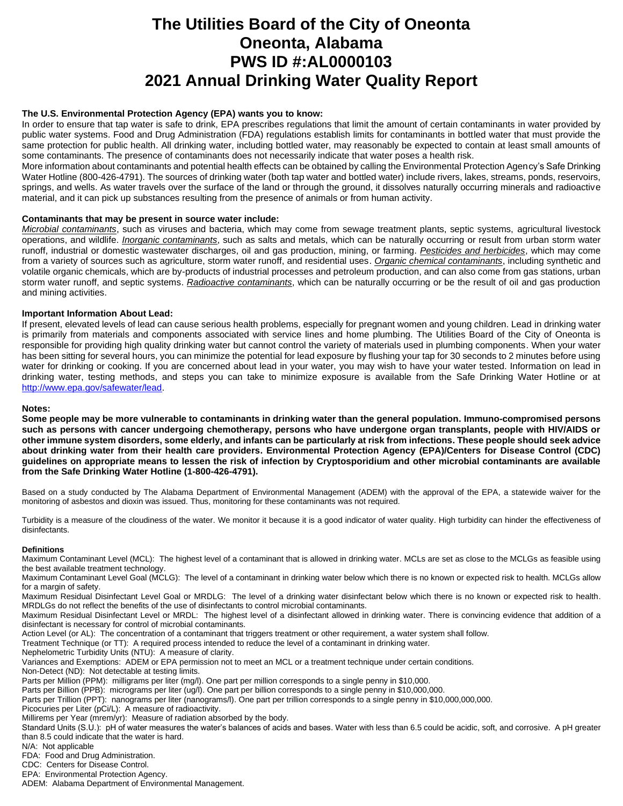# **The Utilities Board of the City of Oneonta Oneonta, Alabama PWS ID #:AL0000103 2021 Annual Drinking Water Quality Report**

## **The U.S. Environmental Protection Agency (EPA) wants you to know:**

In order to ensure that tap water is safe to drink, EPA prescribes regulations that limit the amount of certain contaminants in water provided by public water systems. Food and Drug Administration (FDA) regulations establish limits for contaminants in bottled water that must provide the same protection for public health. All drinking water, including bottled water, may reasonably be expected to contain at least small amounts of some contaminants. The presence of contaminants does not necessarily indicate that water poses a health risk.

More information about contaminants and potential health effects can be obtained by calling the Environmental Protection Agency's Safe Drinking Water Hotline (800-426-4791). The sources of drinking water (both tap water and bottled water) include rivers, lakes, streams, ponds, reservoirs, springs, and wells. As water travels over the surface of the land or through the ground, it dissolves naturally occurring minerals and radioactive material, and it can pick up substances resulting from the presence of animals or from human activity.

### **Contaminants that may be present in source water include:**

*Microbial contaminants*, such as viruses and bacteria, which may come from sewage treatment plants, septic systems, agricultural livestock operations, and wildlife. *Inorganic contaminants*, such as salts and metals, which can be naturally occurring or result from urban storm water runoff, industrial or domestic wastewater discharges, oil and gas production, mining, or farming. *Pesticides and herbicides*, which may come from a variety of sources such as agriculture, storm water runoff, and residential uses. *Organic chemical contaminants*, including synthetic and volatile organic chemicals, which are by-products of industrial processes and petroleum production, and can also come from gas stations, urban storm water runoff, and septic systems. *Radioactive contaminants*, which can be naturally occurring or be the result of oil and gas production and mining activities.

### **Important Information About Lead:**

If present, elevated levels of lead can cause serious health problems, especially for pregnant women and young children. Lead in drinking water is primarily from materials and components associated with service lines and home plumbing. The Utilities Board of the City of Oneonta is responsible for providing high quality drinking water but cannot control the variety of materials used in plumbing components. When your water has been sitting for several hours, you can minimize the potential for lead exposure by flushing your tap for 30 seconds to 2 minutes before using water for drinking or cooking. If you are concerned about lead in your water, you may wish to have your water tested. Information on lead in drinking water, testing methods, and steps you can take to minimize exposure is available from the Safe Drinking Water Hotline or at [http://www.epa.gov/safewater/lead.](http://www.epa.gov/safewater/lead)

### **Notes:**

**Some people may be more vulnerable to contaminants in drinking water than the general population. Immuno-compromised persons such as persons with cancer undergoing chemotherapy, persons who have undergone organ transplants, people with HIV/AIDS or other immune system disorders, some elderly, and infants can be particularly at risk from infections. These people should seek advice about drinking water from their health care providers. Environmental Protection Agency (EPA)/Centers for Disease Control (CDC) guidelines on appropriate means to lessen the risk of infection by Cryptosporidium and other microbial contaminants are available from the Safe Drinking Water Hotline (1-800-426-4791).**

Based on a study conducted by The Alabama Department of Environmental Management (ADEM) with the approval of the EPA, a statewide waiver for the monitoring of asbestos and dioxin was issued. Thus, monitoring for these contaminants was not required.

Turbidity is a measure of the cloudiness of the water. We monitor it because it is a good indicator of water quality. High turbidity can hinder the effectiveness of disinfectants.

### **Definitions**

Maximum Contaminant Level (MCL): The highest level of a contaminant that is allowed in drinking water. MCLs are set as close to the MCLGs as feasible using the best available treatment technology.

Maximum Contaminant Level Goal (MCLG): The level of a contaminant in drinking water below which there is no known or expected risk to health. MCLGs allow for a margin of safety.

Maximum Residual Disinfectant Level Goal or MRDLG: The level of a drinking water disinfectant below which there is no known or expected risk to health. MRDLGs do not reflect the benefits of the use of disinfectants to control microbial contaminants.

Maximum Residual Disinfectant Level or MRDL: The highest level of a disinfectant allowed in drinking water. There is convincing evidence that addition of a disinfectant is necessary for control of microbial contaminants.

Action Level (or AL): The concentration of a contaminant that triggers treatment or other requirement, a water system shall follow.

Treatment Technique (or TT): A required process intended to reduce the level of a contaminant in drinking water.

Nephelometric Turbidity Units (NTU): A measure of clarity.

Variances and Exemptions: ADEM or EPA permission not to meet an MCL or a treatment technique under certain conditions.

Non-Detect (ND): Not detectable at testing limits.

Parts per Million (PPM): milligrams per liter (mg/l). One part per million corresponds to a single penny in \$10,000.

Parts per Billion (PPB): micrograms per liter (ug/l). One part per billion corresponds to a single penny in \$10,000,000.

Parts per Trillion (PPT): nanograms per liter (nanograms/l). One part per trillion corresponds to a single penny in \$10,000,000,000.

Picocuries per Liter (pCi/L): A measure of radioactivity.

Millirems per Year (mrem/yr): Measure of radiation absorbed by the body.

Standard Units (S.U.): pH of water measures the water's balances of acids and bases. Water with less than 6.5 could be acidic, soft, and corrosive. A pH greater than 8.5 could indicate that the water is hard.

N/A: Not applicable

FDA: Food and Drug Administration.

CDC: Centers for Disease Control.

EPA: Environmental Protection Agency.

ADEM: Alabama Department of Environmental Management.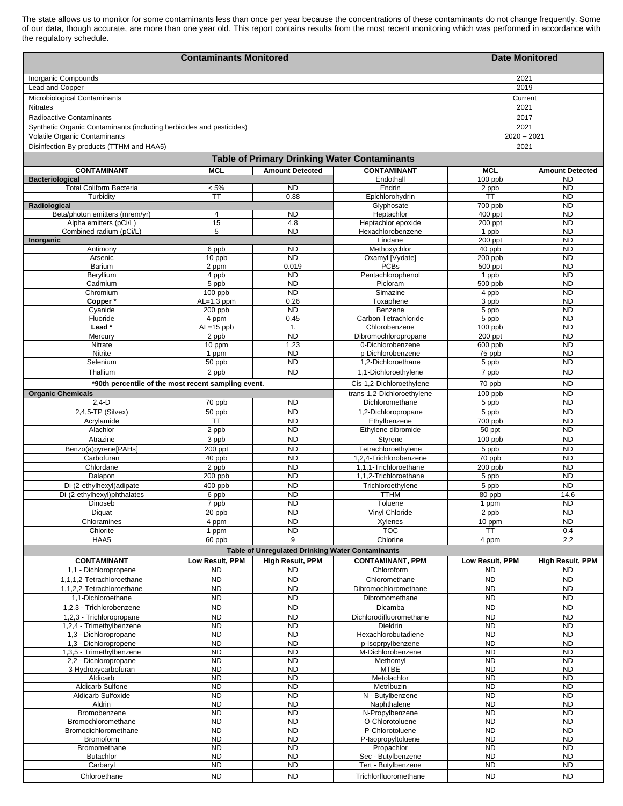The state allows us to monitor for some contaminants less than once per year because the concentrations of these contaminants do not change frequently. Some of our data, though accurate, are more than one year old. This report contains results from the most recent monitoring which was performed in accordance with the regulatory schedule.

|                                                                      | <b>Date Monitored</b>   |                                                  |                                                     |                        |                                     |  |
|----------------------------------------------------------------------|-------------------------|--------------------------------------------------|-----------------------------------------------------|------------------------|-------------------------------------|--|
| Inorganic Compounds                                                  |                         |                                                  |                                                     | 2021                   |                                     |  |
| Lead and Copper                                                      |                         |                                                  |                                                     | 2019                   |                                     |  |
| Microbiological Contaminants                                         |                         |                                                  |                                                     | Current                |                                     |  |
| <b>Nitrates</b>                                                      |                         |                                                  |                                                     | 2021                   |                                     |  |
| Radioactive Contaminants                                             |                         |                                                  |                                                     | 2017                   |                                     |  |
| Synthetic Organic Contaminants (including herbicides and pesticides) | 2021                    |                                                  |                                                     |                        |                                     |  |
| Volatile Organic Contaminants                                        | $2020 - 2021$           |                                                  |                                                     |                        |                                     |  |
| Disinfection By-products (TTHM and HAA5)                             |                         |                                                  |                                                     | 2021                   |                                     |  |
|                                                                      |                         |                                                  | <b>Table of Primary Drinking Water Contaminants</b> |                        |                                     |  |
| <b>CONTAMINANT</b>                                                   | <b>MCL</b>              | <b>Amount Detected</b>                           | <b>CONTAMINANT</b>                                  | <b>MCL</b>             |                                     |  |
| <b>Bacteriological</b>                                               |                         |                                                  | Endothall                                           | 100 ppb                | <b>Amount Detected</b><br><b>ND</b> |  |
| <b>Total Coliform Bacteria</b>                                       | $< 5\%$                 | <b>ND</b>                                        | Endrin                                              | 2 ppb                  | <b>ND</b>                           |  |
| Turbidity                                                            | <b>TT</b>               | 0.88                                             | Epichlorohydrin                                     | TT                     | <b>ND</b>                           |  |
| Radiological                                                         |                         |                                                  | Glyphosate                                          | 700 ppb                | <b>ND</b>                           |  |
| Beta/photon emitters (mrem/yr)                                       | 4                       | <b>ND</b>                                        | Heptachlor                                          | 400 ppt                | <b>ND</b>                           |  |
| Alpha emitters (pCi/L)                                               | 15                      | 4.8                                              | Heptachlor epoxide                                  | 200 ppt                | <b>ND</b>                           |  |
| Combined radium (pCi/L)                                              | 5                       | <b>ND</b>                                        | Hexachlorobenzene<br>Lindane                        | 1 ppb<br>200 ppt       | <b>ND</b><br><b>ND</b>              |  |
| Inorganic<br>Antimony                                                | 6 ppb                   | <b>ND</b>                                        | Methoxychlor                                        | 40 ppb                 | <b>ND</b>                           |  |
| Arsenic                                                              | 10 ppb                  | <b>ND</b>                                        | Oxamyl [Vydate]                                     | 200 ppb                | <b>ND</b>                           |  |
| Barium                                                               | 2 ppm                   | 0.019                                            | <b>PCBs</b>                                         | 500 ppt                | <b>ND</b>                           |  |
| Beryllium                                                            | 4 ppb                   | <b>ND</b>                                        | Pentachlorophenol                                   | 1 ppb                  | <b>ND</b>                           |  |
| Cadmium                                                              | 5 ppb                   | <b>ND</b>                                        | Picloram                                            | 500 ppb                | <b>ND</b>                           |  |
| Chromium                                                             | 100 ppb                 | <b>ND</b>                                        | Simazine                                            | 4 ppb                  | <b>ND</b>                           |  |
| Copper*<br>Cyanide                                                   | $AL=1.3$ ppm<br>200 ppb | 0.26<br><b>ND</b>                                | Toxaphene<br>Benzene                                | 3 ppb                  | <b>ND</b><br><b>ND</b>              |  |
| Fluoride                                                             | 4 ppm                   | 0.45                                             | Carbon Tetrachloride                                | 5 ppb<br>5 ppb         | <b>ND</b>                           |  |
| Lead*                                                                | AL=15 ppb               | $\mathbf{1}$ .                                   | Chlorobenzene                                       | 100 ppb                | <b>ND</b>                           |  |
| Mercury                                                              | 2 ppb                   | <b>ND</b>                                        | Dibromochloropropane                                | 200 ppt                | <b>ND</b>                           |  |
| Nitrate                                                              | 10 ppm                  | 1.23                                             | 0-Dichlorobenzene                                   | 600 ppb                | <b>ND</b>                           |  |
| Nitrite                                                              | 1 ppm                   | <b>ND</b>                                        | p-Dichlorobenzene                                   | 75 ppb                 | <b>ND</b>                           |  |
| Selenium                                                             | 50 ppb                  | <b>ND</b>                                        | 1,2-Dichloroethane                                  | 5 ppb                  | <b>ND</b>                           |  |
| Thallium                                                             | 2 ppb                   | <b>ND</b>                                        | 1,1-Dichloroethylene                                | 7 ppb                  | <b>ND</b>                           |  |
| *90th percentile of the most recent sampling event.                  |                         |                                                  | Cis-1,2-Dichloroethylene                            | 70 ppb                 | <b>ND</b>                           |  |
| <b>Organic Chemicals</b>                                             |                         |                                                  | trans-1,2-Dichloroethylene                          | 100 ppb                | <b>ND</b>                           |  |
| $2,4-D$                                                              | 70 ppb                  | <b>ND</b>                                        | Dichloromethane                                     | 5 ppb                  | <b>ND</b>                           |  |
| 2,4,5-TP (Silvex)                                                    | $50$ ppb                | N <sub>D</sub>                                   | 1,2-Dichloropropane                                 | 5 ppb                  | <b>ND</b>                           |  |
| Acrylamide<br>Alachlor                                               | <b>TT</b><br>2 ppb      | <b>ND</b><br><b>ND</b>                           | Ethylbenzene<br>Ethylene dibromide                  | 700 ppb<br>50 ppt      | <b>ND</b><br><b>ND</b>              |  |
| Atrazine                                                             | 3 ppb                   | <b>ND</b>                                        | Styrene                                             | 100 ppb                | <b>ND</b>                           |  |
| Benzo(a)pyrene[PAHs]                                                 | 200 ppt                 | <b>ND</b>                                        | Tetrachloroethylene                                 | 5 ppb                  | <b>ND</b>                           |  |
| Carbofuran                                                           | 40 ppb                  | <b>ND</b>                                        | 1.2.4-Trichlorobenzene                              | 70 ppb                 | <b>ND</b>                           |  |
| Chlordane                                                            | 2 ppb                   | <b>ND</b>                                        | 1,1,1-Trichloroethane                               | 200 ppb                | <b>ND</b>                           |  |
| Dalapon                                                              | $200$ ppb               | <b>ND</b>                                        | 1,1,2-Trichloroethane                               | 5 ppb                  | <b>ND</b>                           |  |
| Di-(2-ethylhexyl)adipate                                             | 400 ppb                 | <b>ND</b>                                        | Trichloroethylene                                   | 5 ppb                  | <b>ND</b>                           |  |
| Di-(2-ethylhexyl)phthalates                                          | 6 ppb                   | N <sub>D</sub>                                   | <b>TTHM</b>                                         | 80 ppb                 | 14.6                                |  |
| Dinoseb                                                              | 7 ppb                   | <b>ND</b>                                        | Toluene                                             | 1 ppm                  | <b>ND</b>                           |  |
| Diquat                                                               | 20 ppb                  | <b>ND</b>                                        | Vinyl Chloride                                      | 2 ppb                  | ND                                  |  |
| Chloramines<br>Chlorite                                              | 4 ppm<br>1 ppm          | <b>ND</b><br><b>ND</b>                           | Xylenes<br><b>TOC</b>                               | $10$ ppm<br>ТT         | <b>ND</b><br>0.4                    |  |
| HAA5                                                                 | 60 ppb                  | 9                                                | Chlorine                                            | 4 ppm                  | 2.2                                 |  |
|                                                                      |                         | Table of Unregulated Drinking Water Contaminants |                                                     |                        |                                     |  |
| <b>CONTAMINANT</b>                                                   | Low Result, PPM         | High Result, PPM                                 | <b>CONTAMINANT, PPM</b>                             | Low Result, PPM        | <b>High Result, PPM</b>             |  |
| 1,1 - Dichloropropene                                                | <b>ND</b>               | <b>ND</b>                                        | Chloroform                                          | <b>ND</b>              | <b>ND</b>                           |  |
| 1,1,1,2-Tetrachloroethane                                            | N <sub>D</sub>          | <b>ND</b>                                        | Chloromethane                                       | <b>ND</b>              | <b>ND</b>                           |  |
| 1,1,2,2-Tetrachloroethane                                            | <b>ND</b>               | <b>ND</b>                                        | Dibromochloromethane                                | <b>ND</b>              | <b>ND</b>                           |  |
| 1,1-Dichloroethane                                                   | N <sub>D</sub>          | <b>ND</b>                                        | Dibromomethane                                      | <b>ND</b>              | <b>ND</b>                           |  |
| 1,2,3 - Trichlorobenzene                                             | <b>ND</b>               | <b>ND</b>                                        | Dicamba                                             | <b>ND</b>              | <b>ND</b>                           |  |
| 1.2.3 - Trichloropropane                                             | N <sub>D</sub>          | <b>ND</b>                                        | Dichlorodifluoromethane                             | <b>ND</b>              | <b>ND</b>                           |  |
| 1,2,4 - Trimethylbenzene                                             | <b>ND</b>               | <b>ND</b>                                        | <b>Dieldrin</b>                                     | <b>ND</b>              | <b>ND</b>                           |  |
| 1,3 - Dichloropropane                                                | <b>ND</b>               | <b>ND</b>                                        | Hexachlorobutadiene                                 | <b>ND</b><br><b>ND</b> | <b>ND</b><br><b>ND</b>              |  |
| 1,3 - Dichloropropene<br>1,3,5 - Trimethylbenzene                    | <b>ND</b><br><b>ND</b>  | <b>ND</b><br><b>ND</b>                           | p-Isoprpylbenzene<br>M-Dichlorobenzene              | <b>ND</b>              | <b>ND</b>                           |  |
| 2,2 - Dichloropropane                                                | <b>ND</b>               | <b>ND</b>                                        | Methomyl                                            | <b>ND</b>              | <b>ND</b>                           |  |
| 3-Hydroxycarbofuran                                                  | N <sub>D</sub>          | N <sub>D</sub>                                   | <b>MTBE</b>                                         | <b>ND</b>              | <b>ND</b>                           |  |
| Aldicarb                                                             | <b>ND</b>               | <b>ND</b>                                        | Metolachlor                                         | <b>ND</b>              | <b>ND</b>                           |  |
| Aldicarb Sulfone                                                     | <b>ND</b>               | N <sub>D</sub>                                   | Metribuzin                                          | <b>ND</b>              | <b>ND</b>                           |  |
| Aldicarb Sulfoxide                                                   | N <sub>D</sub>          | <b>ND</b>                                        | N - Butylbenzene                                    | <b>ND</b>              | <b>ND</b>                           |  |
| Aldrin<br>Bromobenzene                                               | <b>ND</b><br><b>ND</b>  | <b>ND</b><br>N <sub>D</sub>                      | Naphthalene<br>N-Propylbenzene                      | <b>ND</b><br><b>ND</b> | <b>ND</b><br><b>ND</b>              |  |
| Bromochloromethane                                                   | <b>ND</b>               | <b>ND</b>                                        | O-Chlorotoluene                                     | <b>ND</b>              | <b>ND</b>                           |  |
| Bromodichloromethane                                                 | <b>ND</b>               | <b>ND</b>                                        | P-Chlorotoluene                                     | <b>ND</b>              | <b>ND</b>                           |  |
| Bromoform                                                            | <b>ND</b>               | <b>ND</b>                                        | P-Isopropyltoluene                                  | <b>ND</b>              | <b>ND</b>                           |  |
| Bromomethane                                                         | <b>ND</b>               | <b>ND</b>                                        | Propachlor                                          | <b>ND</b>              | <b>ND</b>                           |  |
| <b>Butachlor</b>                                                     | <b>ND</b>               | <b>ND</b>                                        | Sec - Butylbenzene                                  | <b>ND</b>              | <b>ND</b>                           |  |
| Carbaryl                                                             | <b>ND</b>               | N <sub>D</sub>                                   | Tert - Butylbenzene                                 | <b>ND</b>              | <b>ND</b>                           |  |
| Chloroethane                                                         | <b>ND</b>               | <b>ND</b>                                        | Trichlorfluoromethane                               | <b>ND</b>              | <b>ND</b>                           |  |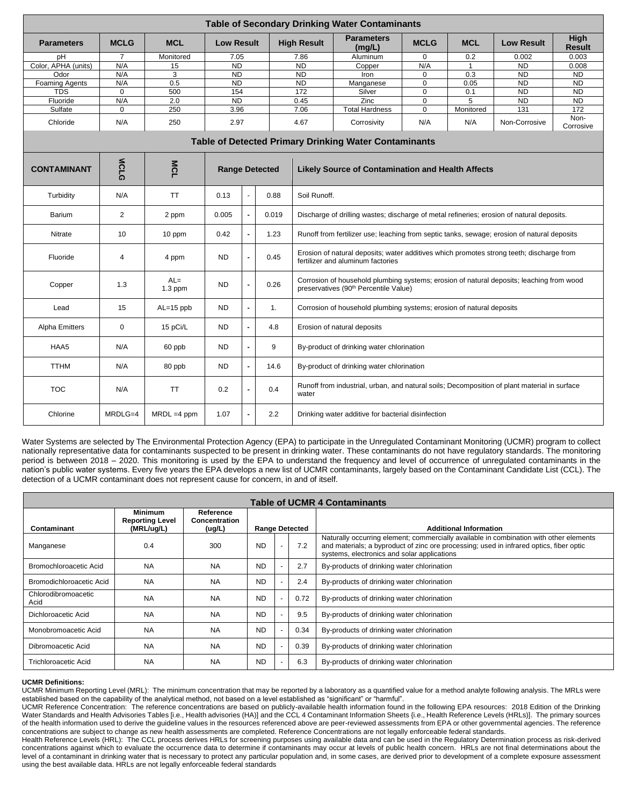| <b>Table of Secondary Drinking Water Contaminants</b>        |                |                     |                       |                |                  |                                                                                                                               |                                                                                                                                               |             |                |                   |                       |  |
|--------------------------------------------------------------|----------------|---------------------|-----------------------|----------------|------------------|-------------------------------------------------------------------------------------------------------------------------------|-----------------------------------------------------------------------------------------------------------------------------------------------|-------------|----------------|-------------------|-----------------------|--|
| <b>Parameters</b>                                            | <b>MCLG</b>    | <b>MCL</b>          | <b>Low Result</b>     |                |                  | <b>High Result</b>                                                                                                            | <b>Parameters</b><br>(mq/L)                                                                                                                   | <b>MCLG</b> | <b>MCL</b>     | <b>Low Result</b> | High<br><b>Result</b> |  |
| pН                                                           | 7              | Monitored           |                       | 7.05           |                  | 7.86                                                                                                                          | Aluminum                                                                                                                                      | $\Omega$    | 0.2            | 0.002             | 0.003                 |  |
| Color, APHA (units)                                          | N/A            | 15                  | $\overline{ND}$       |                |                  | <b>ND</b>                                                                                                                     | Copper                                                                                                                                        | N/A         | $\overline{1}$ | <b>ND</b>         | 0.008                 |  |
| Odor                                                         | N/A            | 3                   | <b>ND</b>             |                |                  | <b>ND</b>                                                                                                                     | Iron                                                                                                                                          | $\Omega$    | 0.3            | <b>ND</b>         | <b>ND</b>             |  |
| <b>Foaming Agents</b>                                        | N/A            | 0.5                 | <b>ND</b>             |                |                  | <b>ND</b>                                                                                                                     | Manganese                                                                                                                                     | $\mathbf 0$ | 0.05           | <b>ND</b>         | <b>ND</b>             |  |
| <b>TDS</b>                                                   | $\mathbf 0$    | 500                 | 154                   |                |                  | 172<br>Silver                                                                                                                 |                                                                                                                                               | $\mathbf 0$ | 0.1            | <b>ND</b>         | <b>ND</b>             |  |
| Fluoride                                                     | N/A            | 2.0                 |                       | <b>ND</b>      |                  | 0.45                                                                                                                          | Zinc<br>$\mathbf 0$<br>5                                                                                                                      |             | <b>ND</b>      | N <sub>D</sub>    |                       |  |
| Sulfate                                                      | $\mathbf 0$    | 250                 | 3.96                  |                |                  | 7.06                                                                                                                          | <b>Total Hardness</b>                                                                                                                         | $\mathbf 0$ | Monitored      | 131               | 172                   |  |
| Chloride                                                     | N/A            | 250                 | 2.97                  |                |                  | 4.67                                                                                                                          | Corrosivity                                                                                                                                   | N/A         | N/A            | Non-Corrosive     | Non-<br>Corrosive     |  |
| <b>Table of Detected Primary Drinking Water Contaminants</b> |                |                     |                       |                |                  |                                                                                                                               |                                                                                                                                               |             |                |                   |                       |  |
| <b>CONTAMINANT</b>                                           | <b>MCLG</b>    | <b>MCL</b>          | <b>Range Detected</b> |                |                  | <b>Likely Source of Contamination and Health Affects</b>                                                                      |                                                                                                                                               |             |                |                   |                       |  |
| Turbidity                                                    | N/A            | <b>TT</b>           | 0.13                  |                | 0.88             | Soil Runoff.                                                                                                                  |                                                                                                                                               |             |                |                   |                       |  |
| Barium                                                       | $\overline{2}$ | 2 ppm               | 0.005                 | $\blacksquare$ | 0.019            | Discharge of drilling wastes; discharge of metal refineries; erosion of natural deposits.                                     |                                                                                                                                               |             |                |                   |                       |  |
| Nitrate                                                      | 10             | 10 ppm              | 0.42                  |                | 1.23             | Runoff from fertilizer use; leaching from septic tanks, sewage; erosion of natural deposits                                   |                                                                                                                                               |             |                |                   |                       |  |
| Fluoride                                                     | $\overline{4}$ | 4 ppm               | <b>ND</b>             |                | 0.45             | Erosion of natural deposits; water additives which promotes strong teeth; discharge from<br>fertilizer and aluminum factories |                                                                                                                                               |             |                |                   |                       |  |
| Copper                                                       | 1.3            | $AL =$<br>$1.3$ ppm | <b>ND</b>             |                | 0.26             |                                                                                                                               | Corrosion of household plumbing systems; erosion of natural deposits; leaching from wood<br>preservatives (90 <sup>th</sup> Percentile Value) |             |                |                   |                       |  |
| Lead                                                         | 15             | $AL=15$ ppb         | <b>ND</b>             | $\blacksquare$ | 1.               |                                                                                                                               | Corrosion of household plumbing systems; erosion of natural deposits                                                                          |             |                |                   |                       |  |
| <b>Alpha Emitters</b>                                        | $\mathbf 0$    | 15 pCi/L            | <b>ND</b>             |                | 4.8              |                                                                                                                               | Erosion of natural deposits                                                                                                                   |             |                |                   |                       |  |
| HAA5                                                         | N/A            | 60 ppb              | <b>ND</b>             | $\blacksquare$ | 9                | By-product of drinking water chlorination                                                                                     |                                                                                                                                               |             |                |                   |                       |  |
| <b>TTHM</b>                                                  | N/A            | 80 ppb              | <b>ND</b>             |                | 14.6             | By-product of drinking water chlorination                                                                                     |                                                                                                                                               |             |                |                   |                       |  |
| <b>TOC</b>                                                   | N/A            | <b>TT</b>           | 0.2                   | $\blacksquare$ | 0.4              | Runoff from industrial, urban, and natural soils; Decomposition of plant material in surface<br>water                         |                                                                                                                                               |             |                |                   |                       |  |
| Chlorine                                                     | $MRDLG=4$      | $MRDL = 4 ppm$      | 1.07                  |                | $2.2\phantom{0}$ |                                                                                                                               | Drinking water additive for bacterial disinfection                                                                                            |             |                |                   |                       |  |

Water Systems are selected by The Environmental Protection Agency (EPA) to participate in the Unregulated Contaminant Monitoring (UCMR) program to collect nationally representative data for contaminants suspected to be present in drinking water. These contaminants do not have regulatory standards. The monitoring period is between 2018 – 2020. This monitoring is used by the EPA to understand the frequency and level of occurrence of unregulated contaminants in the nation's public water systems. Every five years the EPA develops a new list of UCMR contaminants, largely based on the Contaminant Candidate List (CCL). The detection of a UCMR contaminant does not represent cause for concern, in and of itself.

| <b>Table of UCMR 4 Contaminants</b> |                                                        |                                             |                       |  |      |                                                                                                                                                                                                                                  |
|-------------------------------------|--------------------------------------------------------|---------------------------------------------|-----------------------|--|------|----------------------------------------------------------------------------------------------------------------------------------------------------------------------------------------------------------------------------------|
| Contaminant                         | <b>Minimum</b><br><b>Reporting Level</b><br>(MRL/ug/L) | Reference<br><b>Concentration</b><br>(ug/L) | <b>Range Detected</b> |  |      | <b>Additional Information</b>                                                                                                                                                                                                    |
| Manganese                           | 0.4                                                    | 300                                         | <b>ND</b>             |  | 7.2  | Naturally occurring element; commercially available in combination with other elements<br>and materials; a byproduct of zinc ore processing; used in infrared optics, fiber optic<br>systems, electronics and solar applications |
| Bromochloroacetic Acid              | <b>NA</b>                                              | <b>NA</b>                                   | <b>ND</b>             |  | 2.7  | By-products of drinking water chlorination                                                                                                                                                                                       |
| Bromodichloroacetic Acid            | <b>NA</b>                                              | <b>NA</b>                                   | <b>ND</b>             |  | 2.4  | By-products of drinking water chlorination                                                                                                                                                                                       |
| Chlorodibromoacetic<br>Acid         | <b>NA</b>                                              | <b>NA</b>                                   | <b>ND</b>             |  | 0.72 | By-products of drinking water chlorination                                                                                                                                                                                       |
| Dichloroacetic Acid                 | <b>NA</b>                                              | <b>NA</b>                                   | <b>ND</b>             |  | 9.5  | By-products of drinking water chlorination                                                                                                                                                                                       |
| Monobromoacetic Acid                | <b>NA</b>                                              | <b>NA</b>                                   | <b>ND</b>             |  | 0.34 | By-products of drinking water chlorination                                                                                                                                                                                       |
| Dibromoacetic Acid                  | <b>NA</b>                                              | <b>NA</b>                                   | <b>ND</b>             |  | 0.39 | By-products of drinking water chlorination                                                                                                                                                                                       |
| <b>Trichloroacetic Acid</b>         | <b>NA</b>                                              | <b>NA</b>                                   | <b>ND</b>             |  | 6.3  | By-products of drinking water chlorination                                                                                                                                                                                       |

#### **UCMR Definitions:**

UCMR Minimum Reporting Level (MRL): The minimum concentration that may be reported by a laboratory as a quantified value for a method analyte following analysis. The MRLs were established based on the capability of the analytical method, not based on a level established as "significant" or "harmful".

UCMR Reference Concentration: The reference concentrations are based on publicly-available health information found in the following EPA resources: 2018 Edition of the Drinking Water Standards and Health Advisories Tables [i.e., Health advisories (HA)] and the CCL 4 Contaminant Information Sheets {i.e., Health Reference Levels (HRLs)]. The primary sources of the health information used to derive the guideline values in the resources referenced above are peer-reviewed assessments from EPA or other governmental agencies. The reference concentrations are subject to change as new health assessments are completed. Reference Concentrations are not legally enforceable federal standards.

Health Reference Levels (HRL): The CCL process derives HRLs for screening purposes using available data and can be used in the Regulatory Determination process as risk-derived concentrations against which to evaluate the occurrence data to determine if contaminants may occur at levels of public health concern. HRLs are not final determinations about the level of a contaminant in drinking water that is necessary to protect any particular population and, in some cases, are derived prior to development of a complete exposure assessment using the best available data. HRLs are not legally enforceable federal standards